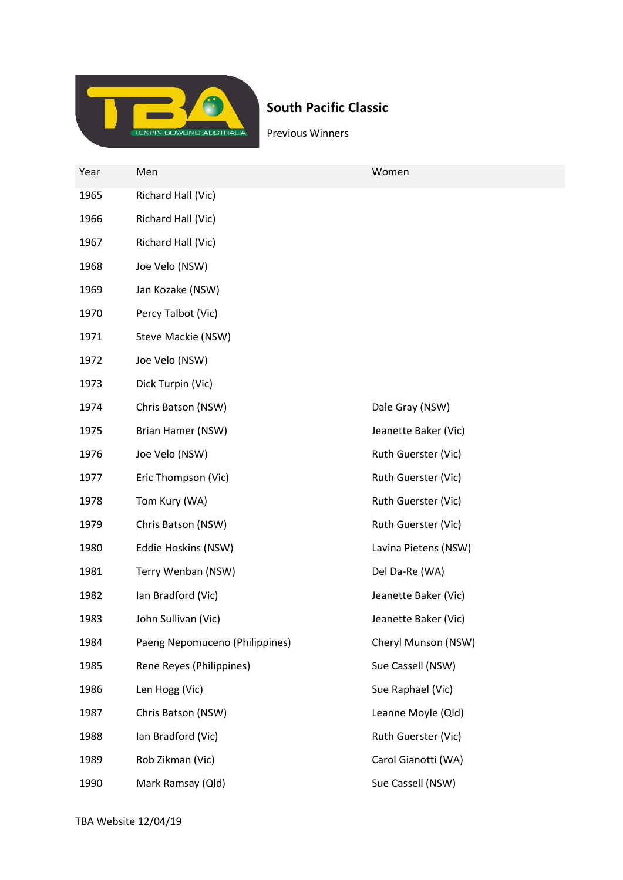

## South Pacific Classic

Previous Winners

| Year | Men                            | Women                |
|------|--------------------------------|----------------------|
| 1965 | Richard Hall (Vic)             |                      |
| 1966 | Richard Hall (Vic)             |                      |
| 1967 | Richard Hall (Vic)             |                      |
| 1968 | Joe Velo (NSW)                 |                      |
| 1969 | Jan Kozake (NSW)               |                      |
| 1970 | Percy Talbot (Vic)             |                      |
| 1971 | Steve Mackie (NSW)             |                      |
| 1972 | Joe Velo (NSW)                 |                      |
| 1973 | Dick Turpin (Vic)              |                      |
| 1974 | Chris Batson (NSW)             | Dale Gray (NSW)      |
| 1975 | Brian Hamer (NSW)              | Jeanette Baker (Vic) |
| 1976 | Joe Velo (NSW)                 | Ruth Guerster (Vic)  |
| 1977 | Eric Thompson (Vic)            | Ruth Guerster (Vic)  |
| 1978 | Tom Kury (WA)                  | Ruth Guerster (Vic)  |
| 1979 | Chris Batson (NSW)             | Ruth Guerster (Vic)  |
| 1980 | Eddie Hoskins (NSW)            | Lavina Pietens (NSW) |
| 1981 | Terry Wenban (NSW)             | Del Da-Re (WA)       |
| 1982 | Ian Bradford (Vic)             | Jeanette Baker (Vic) |
| 1983 | John Sullivan (Vic)            | Jeanette Baker (Vic) |
| 1984 | Paeng Nepomuceno (Philippines) | Cheryl Munson (NSW)  |
| 1985 | Rene Reyes (Philippines)       | Sue Cassell (NSW)    |
| 1986 | Len Hogg (Vic)                 | Sue Raphael (Vic)    |
| 1987 | Chris Batson (NSW)             | Leanne Moyle (Qld)   |
| 1988 | Ian Bradford (Vic)             | Ruth Guerster (Vic)  |
| 1989 | Rob Zikman (Vic)               | Carol Gianotti (WA)  |
| 1990 | Mark Ramsay (Qld)              | Sue Cassell (NSW)    |